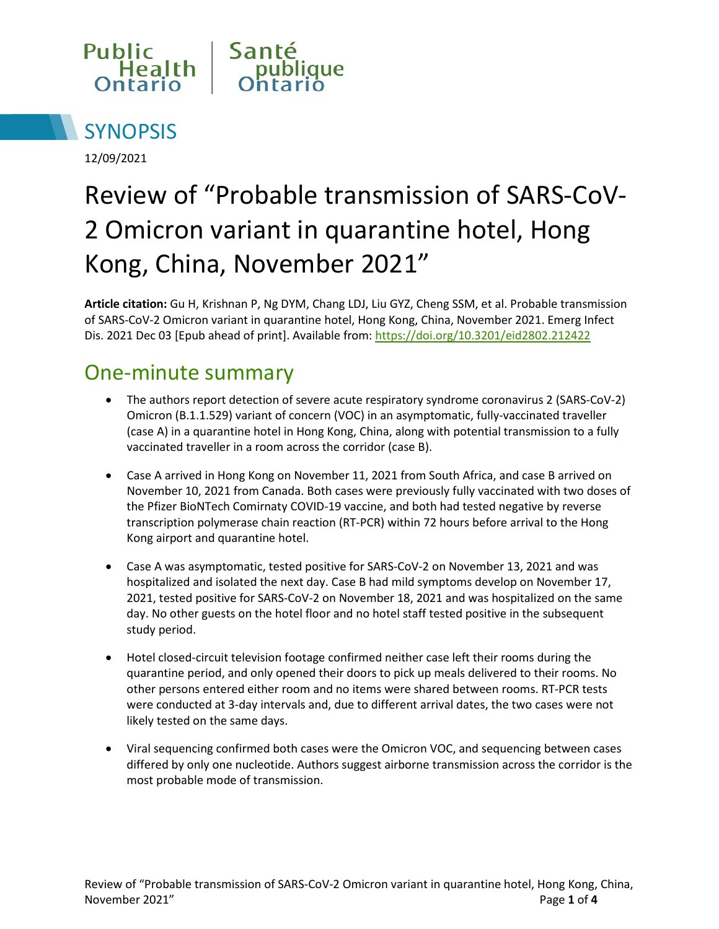



12/09/2021

# Review of "Probable transmission of SARS-CoV-2 Omicron variant in quarantine hotel, Hong Kong, China, November 2021"

**Article citation:** Gu H, Krishnan P, Ng DYM, Chang LDJ, Liu GYZ, Cheng SSM, et al. Probable transmission of SARS-CoV-2 Omicron variant in quarantine hotel, Hong Kong, China, November 2021. Emerg Infect Dis. 2021 Dec 03 [Epub ahead of print]. Available from[: https://doi.org/10.3201/eid2802.212422](https://doi.org/10.3201/eid2802.212422)

### One-minute summary

- The authors report detection of severe acute respiratory syndrome coronavirus 2 (SARS-CoV-2) Omicron (B.1.1.529) variant of concern (VOC) in an asymptomatic, fully-vaccinated traveller (case A) in a quarantine hotel in Hong Kong, China, along with potential transmission to a fully vaccinated traveller in a room across the corridor (case B).
- Case A arrived in Hong Kong on November 11, 2021 from South Africa, and case B arrived on November 10, 2021 from Canada. Both cases were previously fully vaccinated with two doses of the Pfizer BioNTech Comirnaty COVID-19 vaccine, and both had tested negative by reverse transcription polymerase chain reaction (RT-PCR) within 72 hours before arrival to the Hong Kong airport and quarantine hotel.
- Case A was asymptomatic, tested positive for SARS-CoV-2 on November 13, 2021 and was hospitalized and isolated the next day. Case B had mild symptoms develop on November 17, 2021, tested positive for SARS-CoV-2 on November 18, 2021 and was hospitalized on the same day. No other guests on the hotel floor and no hotel staff tested positive in the subsequent study period.
- Hotel closed-circuit television footage confirmed neither case left their rooms during the quarantine period, and only opened their doors to pick up meals delivered to their rooms. No other persons entered either room and no items were shared between rooms. RT-PCR tests were conducted at 3-day intervals and, due to different arrival dates, the two cases were not likely tested on the same days.
- Viral sequencing confirmed both cases were the Omicron VOC, and sequencing between cases differed by only one nucleotide. Authors suggest airborne transmission across the corridor is the most probable mode of transmission.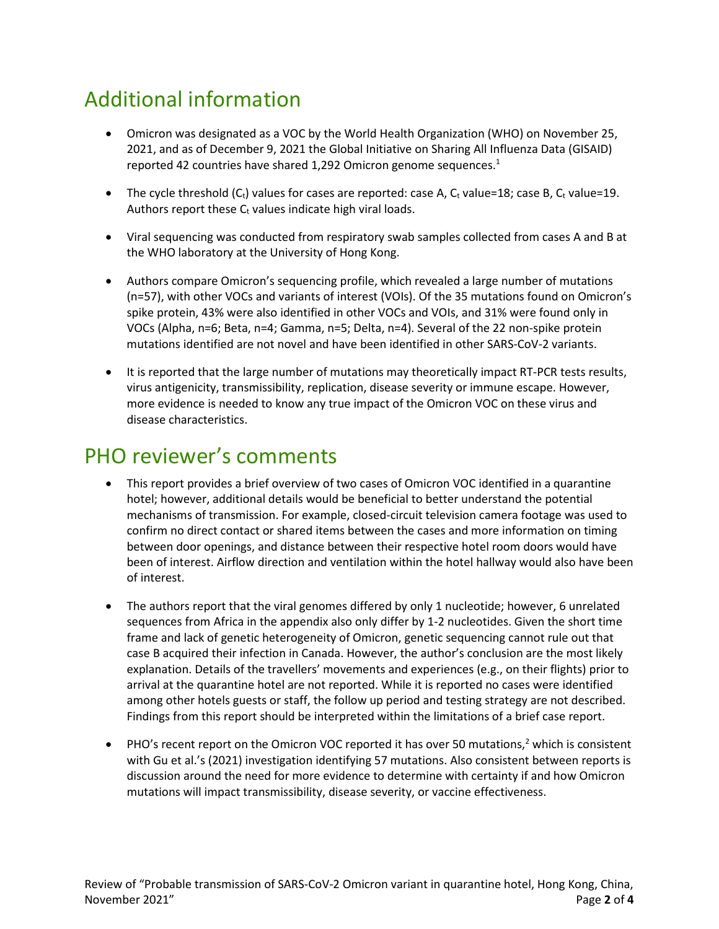# Additional information

- Omicron was designated as a VOC by the World Health Organization (WHO) on November 25, 2021, and as of December 9, 2021 the Global Initiative on Sharing All Influenza Data (GISAID) reported 42 countries have shared 1,292 Omicron genome sequences.<sup>1</sup>
- The cycle threshold  $(C_t)$  values for cases are reported: case A,  $C_t$  value=18; case B,  $C_t$  value=19. Authors report these  $C_t$  values indicate high viral loads.
- Viral sequencing was conducted from respiratory swab samples collected from cases A and B at the WHO laboratory at the University of Hong Kong.
- Authors compare Omicron's sequencing profile, which revealed a large number of mutations (n=57), with other VOCs and variants of interest (VOIs). Of the 35 mutations found on Omicron's spike protein, 43% were also identified in other VOCs and VOIs, and 31% were found only in VOCs (Alpha, n=6; Beta, n=4; Gamma, n=5; Delta, n=4). Several of the 22 non-spike protein mutations identified are not novel and have been identified in other SARS-CoV-2 variants.
- It is reported that the large number of mutations may theoretically impact RT-PCR tests results, virus antigenicity, transmissibility, replication, disease severity or immune escape. However, more evidence is needed to know any true impact of the Omicron VOC on these virus and disease characteristics.

#### PHO reviewer's comments

- This report provides a brief overview of two cases of Omicron VOC identified in a quarantine hotel; however, additional details would be beneficial to better understand the potential mechanisms of transmission. For example, closed-circuit television camera footage was used to confirm no direct contact or shared items between the cases and more information on timing between door openings, and distance between their respective hotel room doors would have been of interest. Airflow direction and ventilation within the hotel hallway would also have been of interest.
- The authors report that the viral genomes differed by only 1 nucleotide; however, 6 unrelated sequences from Africa in the appendix also only differ by 1-2 nucleotides. Given the short time frame and lack of genetic heterogeneity of Omicron, genetic sequencing cannot rule out that case B acquired their infection in Canada. However, the author's conclusion are the most likely explanation. Details of the travellers' movements and experiences (e.g., on their flights) prior to arrival at the quarantine hotel are not reported. While it is reported no cases were identified among other hotels guests or staff, the follow up period and testing strategy are not described. Findings from this report should be interpreted within the limitations of a brief case report.
- PHO's recent report on the Omicron VOC reported it has over 50 mutations,<sup>2</sup> which is consistent with Gu et al.'s (2021) investigation identifying 57 mutations. Also consistent between reports is discussion around the need for more evidence to determine with certainty if and how Omicron mutations will impact transmissibility, disease severity, or vaccine effectiveness.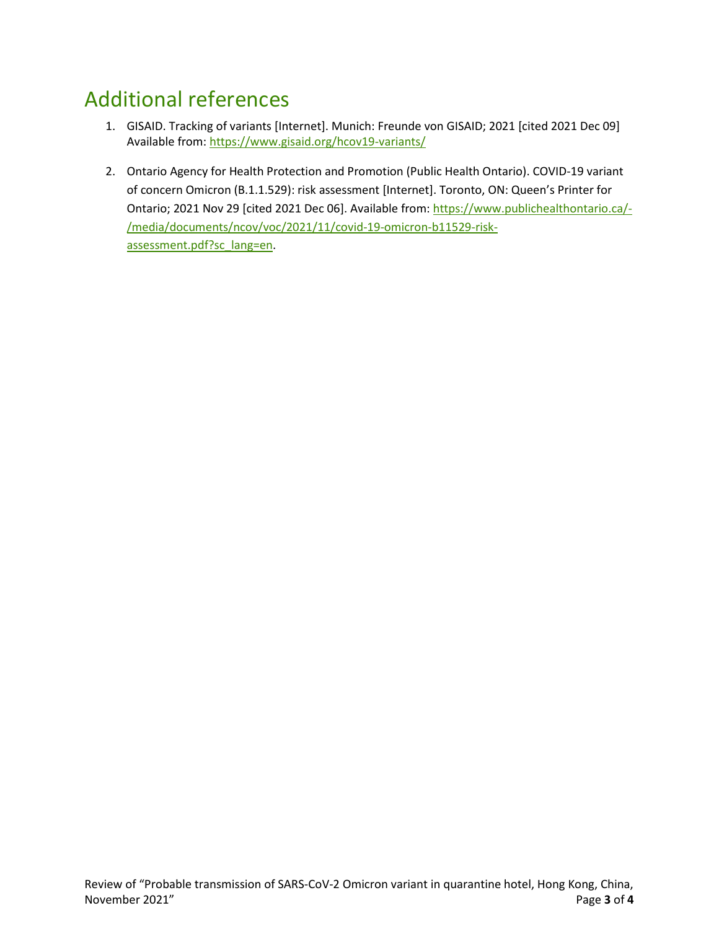# Additional references

- 1. GISAID. Tracking of variants [Internet]. Munich: Freunde von GISAID; 2021 [cited 2021 Dec 09] Available from:<https://www.gisaid.org/hcov19-variants/>
- 2. Ontario Agency for Health Protection and Promotion (Public Health Ontario). COVID-19 variant of concern Omicron (B.1.1.529): risk assessment [Internet]. Toronto, ON: Queen's Printer for Ontario; 2021 Nov 29 [cited 2021 Dec 06]. Available from[: https://www.publichealthontario.ca/-](https://www.publichealthontario.ca/-/media/documents/ncov/voc/2021/11/covid-19-omicron-b11529-risk-assessment.pdf?sc_lang=en) [/media/documents/ncov/voc/2021/11/covid-19-omicron-b11529-risk](https://www.publichealthontario.ca/-/media/documents/ncov/voc/2021/11/covid-19-omicron-b11529-risk-assessment.pdf?sc_lang=en)[assessment.pdf?sc\\_lang=en.](https://www.publichealthontario.ca/-/media/documents/ncov/voc/2021/11/covid-19-omicron-b11529-risk-assessment.pdf?sc_lang=en)